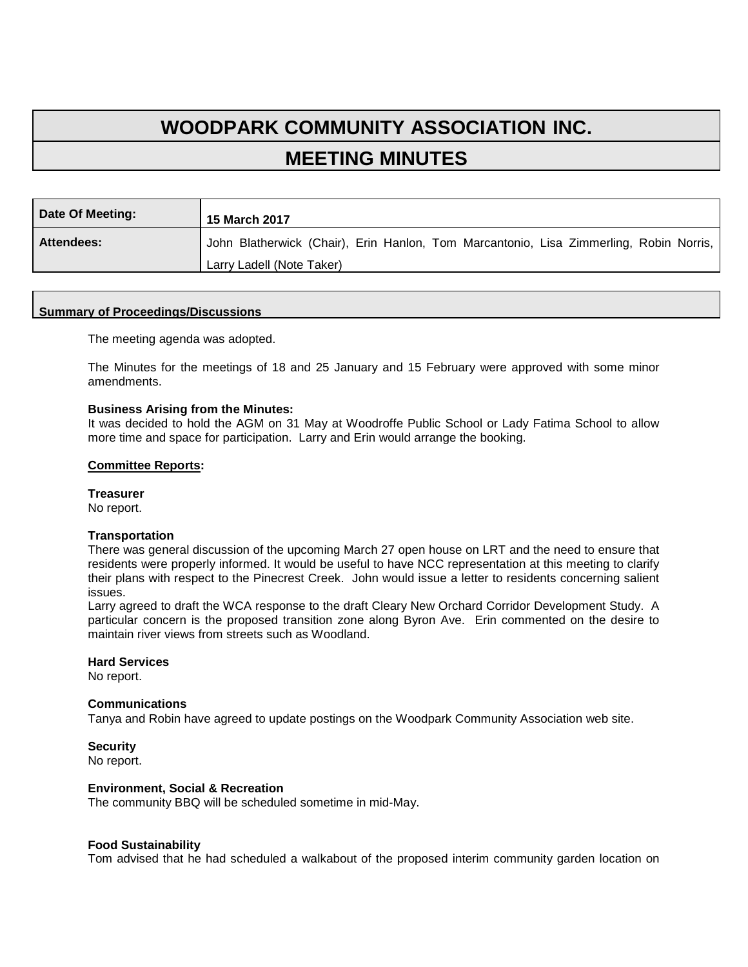# **WOODPARK COMMUNITY ASSOCIATION INC. MEETING MINUTES**

| Date Of Meeting:  | 15 March 2017                                                                          |
|-------------------|----------------------------------------------------------------------------------------|
| <b>Attendees:</b> | John Blatherwick (Chair), Erin Hanlon, Tom Marcantonio, Lisa Zimmerling, Robin Norris, |
|                   | Larry Ladell (Note Taker)                                                              |

#### **Summary of Proceedings/Discussions**

The meeting agenda was adopted.

The Minutes for the meetings of 18 and 25 January and 15 February were approved with some minor amendments.

#### **Business Arising from the Minutes:**

It was decided to hold the AGM on 31 May at Woodroffe Public School or Lady Fatima School to allow more time and space for participation. Larry and Erin would arrange the booking.

#### **Committee Reports:**

#### **Treasurer**

No report.

#### **Transportation**

There was general discussion of the upcoming March 27 open house on LRT and the need to ensure that residents were properly informed. It would be useful to have NCC representation at this meeting to clarify their plans with respect to the Pinecrest Creek. John would issue a letter to residents concerning salient issues.

Larry agreed to draft the WCA response to the draft Cleary New Orchard Corridor Development Study. A particular concern is the proposed transition zone along Byron Ave. Erin commented on the desire to maintain river views from streets such as Woodland.

#### **Hard Services**

No report.

#### **Communications**

Tanya and Robin have agreed to update postings on the Woodpark Community Association web site.

## **Security**

No report.

## **Environment, Social & Recreation**

The community BBQ will be scheduled sometime in mid-May.

#### **Food Sustainability**

Tom advised that he had scheduled a walkabout of the proposed interim community garden location on